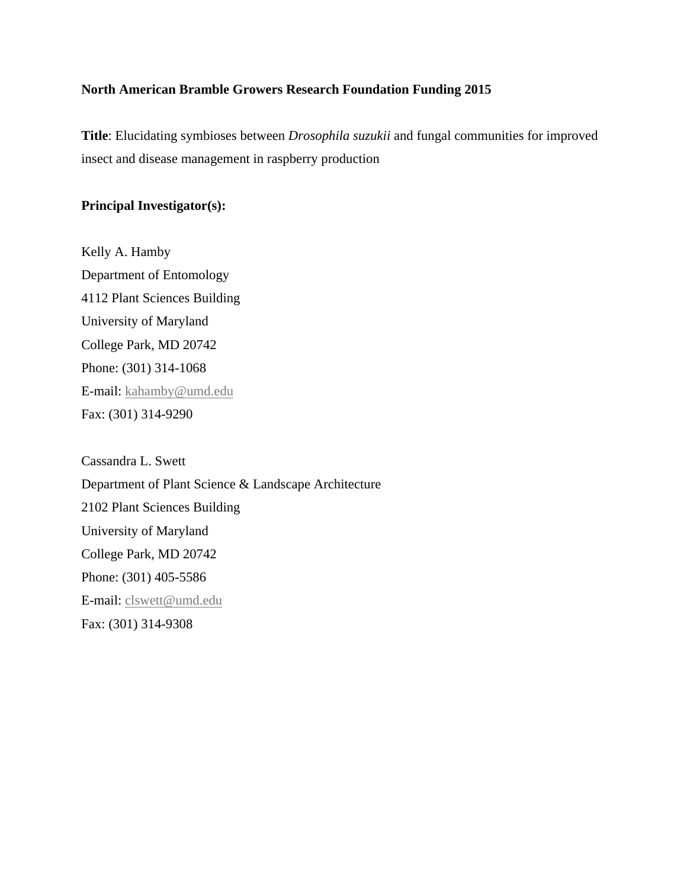## **North American Bramble Growers Research Foundation Funding 2015**

**Title**: Elucidating symbioses between *Drosophila suzukii* and fungal communities for improved insect and disease management in raspberry production

# **Principal Investigator(s):**

Kelly A. Hamby Department of Entomology 4112 Plant Sciences Building University of Maryland College Park, MD 20742 Phone: (301) 314-1068 E-mail: [kahamby@umd.edu](mailto:kahamby@umd.edu) Fax: (301) 314-9290

Cassandra L. Swett Department of Plant Science & Landscape Architecture 2102 Plant Sciences Building University of Maryland College Park, MD 20742 Phone: (301) 405-5586 E-mail: [clswett@umd.edu](mailto:clswett@umd.edu) Fax: (301) 314-9308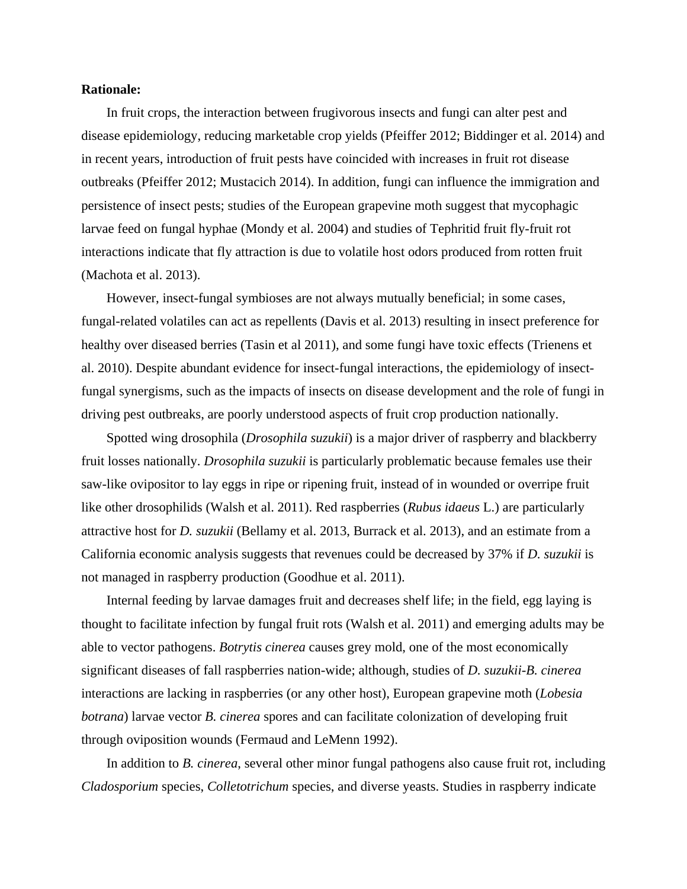### **Rationale:**

In fruit crops, the interaction between frugivorous insects and fungi can alter pest and disease epidemiology, reducing marketable crop yields (Pfeiffer 2012; Biddinger et al. 2014) and in recent years, introduction of fruit pests have coincided with increases in fruit rot disease outbreaks (Pfeiffer 2012; Mustacich 2014). In addition, fungi can influence the immigration and persistence of insect pests; studies of the European grapevine moth suggest that mycophagic larvae feed on fungal hyphae (Mondy et al. 2004) and studies of Tephritid fruit fly-fruit rot interactions indicate that fly attraction is due to volatile host odors produced from rotten fruit (Machota et al. 2013).

However, insect-fungal symbioses are not always mutually beneficial; in some cases, fungal-related volatiles can act as repellents (Davis et al. 2013) resulting in insect preference for healthy over diseased berries (Tasin et al 2011), and some fungi have toxic effects (Trienens et al. 2010). Despite abundant evidence for insect-fungal interactions, the epidemiology of insectfungal synergisms, such as the impacts of insects on disease development and the role of fungi in driving pest outbreaks, are poorly understood aspects of fruit crop production nationally.

Spotted wing drosophila (*Drosophila suzukii*) is a major driver of raspberry and blackberry fruit losses nationally. *Drosophila suzukii* is particularly problematic because females use their saw-like ovipositor to lay eggs in ripe or ripening fruit, instead of in wounded or overripe fruit like other drosophilids (Walsh et al. 2011). Red raspberries (*Rubus idaeus* L.) are particularly attractive host for *D. suzukii* (Bellamy et al. 2013, Burrack et al. 2013), and an estimate from a California economic analysis suggests that revenues could be decreased by 37% if *D. suzukii* is not managed in raspberry production (Goodhue et al. 2011).

Internal feeding by larvae damages fruit and decreases shelf life; in the field, egg laying is thought to facilitate infection by fungal fruit rots (Walsh et al. 2011) and emerging adults may be able to vector pathogens. *Botrytis cinerea* causes grey mold, one of the most economically significant diseases of fall raspberries nation-wide; although, studies of *D. suzukii*-*B. cinerea* interactions are lacking in raspberries (or any other host), European grapevine moth (*Lobesia botrana*) larvae vector *B. cinerea* spores and can facilitate colonization of developing fruit through oviposition wounds (Fermaud and LeMenn 1992).

In addition to *B. cinerea*, several other minor fungal pathogens also cause fruit rot, including *Cladosporium* species, *Colletotrichum* species, and diverse yeasts. Studies in raspberry indicate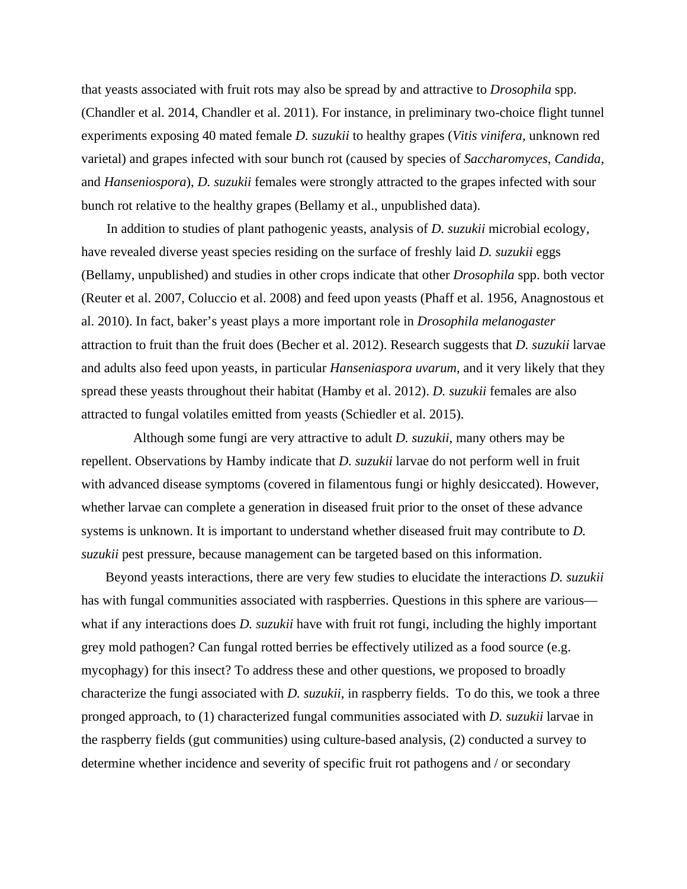that yeasts associated with fruit rots may also be spread by and attractive to *Drosophila* spp*.*  (Chandler et al. 2014, Chandler et al. 2011). For instance, in preliminary two-choice flight tunnel experiments exposing 40 mated female *D. suzukii* to healthy grapes (*Vitis vinifera*, unknown red varietal) and grapes infected with sour bunch rot (caused by species of *Saccharomyces*, *Candida*, and *Hanseniospora*), *D. suzukii* females were strongly attracted to the grapes infected with sour bunch rot relative to the healthy grapes (Bellamy et al., unpublished data).

In addition to studies of plant pathogenic yeasts, analysis of *D. suzukii* microbial ecology, have revealed diverse yeast species residing on the surface of freshly laid *D. suzukii* eggs (Bellamy, unpublished) and studies in other crops indicate that other *Drosophila* spp. both vector (Reuter et al. 2007, Coluccio et al. 2008) and feed upon yeasts (Phaff et al. 1956, Anagnostous et al. 2010). In fact, baker's yeast plays a more important role in *Drosophila melanogaster*  attraction to fruit than the fruit does (Becher et al. 2012). Research suggests that *D. suzukii* larvae and adults also feed upon yeasts, in particular *Hanseniaspora uvarum*, and it very likely that they spread these yeasts throughout their habitat (Hamby et al. 2012). *D. suzukii* females are also attracted to fungal volatiles emitted from yeasts (Schiedler et al. 2015).

Although some fungi are very attractive to adult *D. suzukii*, many others may be repellent. Observations by Hamby indicate that *D. suzukii* larvae do not perform well in fruit with advanced disease symptoms (covered in filamentous fungi or highly desiccated). However, whether larvae can complete a generation in diseased fruit prior to the onset of these advance systems is unknown. It is important to understand whether diseased fruit may contribute to *D. suzukii* pest pressure, because management can be targeted based on this information.

Beyond yeasts interactions, there are very few studies to elucidate the interactions *D. suzukii* has with fungal communities associated with raspberries. Questions in this sphere are various what if any interactions does *D. suzukii* have with fruit rot fungi, including the highly important grey mold pathogen? Can fungal rotted berries be effectively utilized as a food source (e.g. mycophagy) for this insect? To address these and other questions, we proposed to broadly characterize the fungi associated with *D. suzukii*, in raspberry fields. To do this, we took a three pronged approach, to (1) characterized fungal communities associated with *D. suzukii* larvae in the raspberry fields (gut communities) using culture-based analysis, (2) conducted a survey to determine whether incidence and severity of specific fruit rot pathogens and / or secondary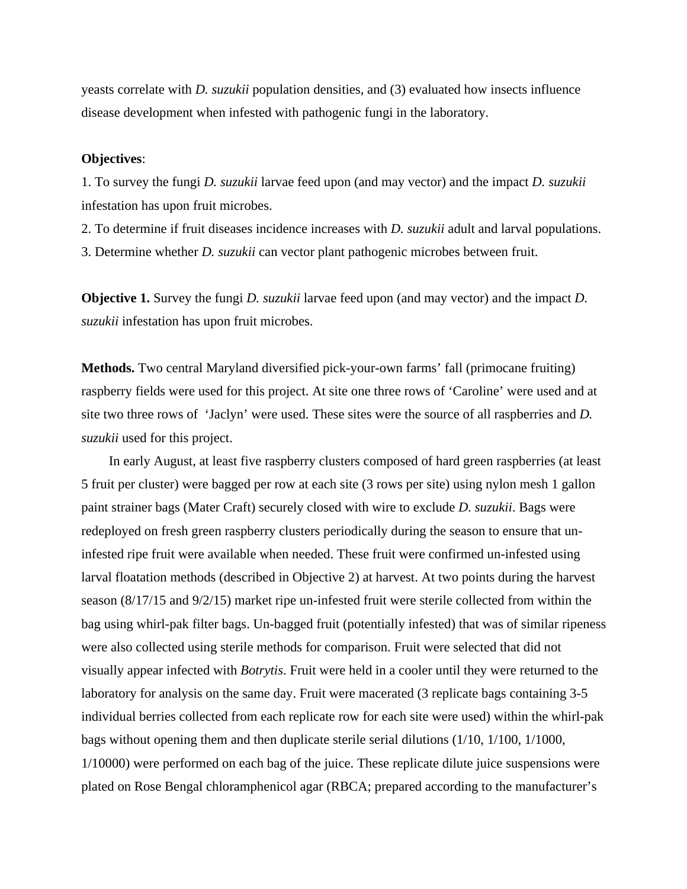yeasts correlate with *D. suzukii* population densities, and (3) evaluated how insects influence disease development when infested with pathogenic fungi in the laboratory.

### **Objectives**:

1. To survey the fungi *D. suzukii* larvae feed upon (and may vector) and the impact *D. suzukii*  infestation has upon fruit microbes.

2. To determine if fruit diseases incidence increases with *D. suzukii* adult and larval populations.

3. Determine whether *D. suzukii* can vector plant pathogenic microbes between fruit.

**Objective 1.** Survey the fungi *D. suzukii* larvae feed upon (and may vector) and the impact *D. suzukii* infestation has upon fruit microbes.

**Methods.** Two central Maryland diversified pick-your-own farms' fall (primocane fruiting) raspberry fields were used for this project. At site one three rows of 'Caroline' were used and at site two three rows of 'Jaclyn' were used. These sites were the source of all raspberries and *D. suzukii* used for this project.

In early August, at least five raspberry clusters composed of hard green raspberries (at least 5 fruit per cluster) were bagged per row at each site (3 rows per site) using nylon mesh 1 gallon paint strainer bags (Mater Craft) securely closed with wire to exclude *D. suzukii*. Bags were redeployed on fresh green raspberry clusters periodically during the season to ensure that uninfested ripe fruit were available when needed. These fruit were confirmed un-infested using larval floatation methods (described in Objective 2) at harvest. At two points during the harvest season (8/17/15 and 9/2/15) market ripe un-infested fruit were sterile collected from within the bag using whirl-pak filter bags. Un-bagged fruit (potentially infested) that was of similar ripeness were also collected using sterile methods for comparison. Fruit were selected that did not visually appear infected with *Botrytis*. Fruit were held in a cooler until they were returned to the laboratory for analysis on the same day. Fruit were macerated (3 replicate bags containing 3-5 individual berries collected from each replicate row for each site were used) within the whirl-pak bags without opening them and then duplicate sterile serial dilutions (1/10, 1/100, 1/1000, 1/10000) were performed on each bag of the juice. These replicate dilute juice suspensions were plated on Rose Bengal chloramphenicol agar (RBCA; prepared according to the manufacturer's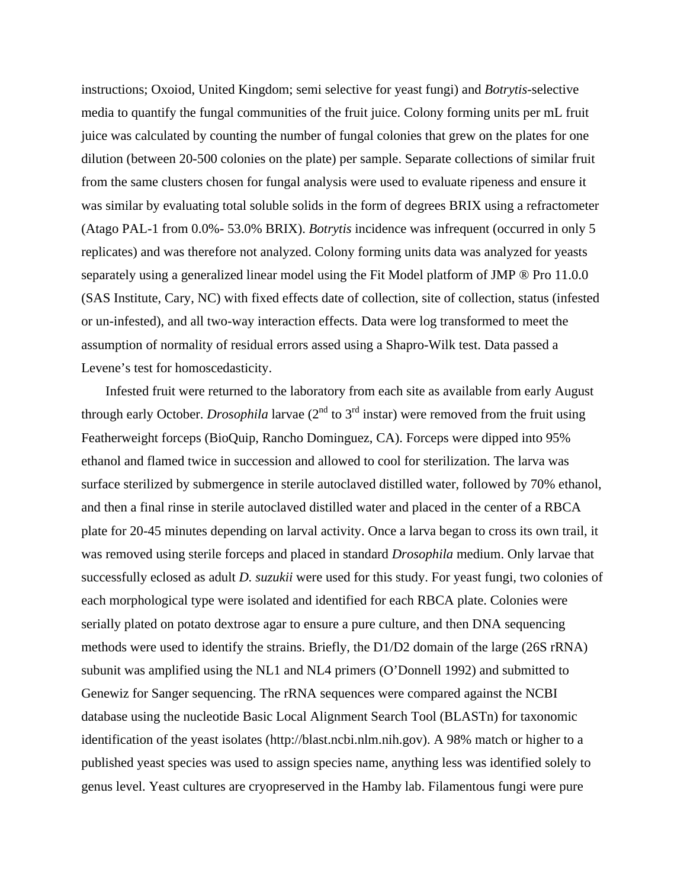instructions; Oxoiod, United Kingdom; semi selective for yeast fungi) and *Botrytis*-selective media to quantify the fungal communities of the fruit juice. Colony forming units per mL fruit juice was calculated by counting the number of fungal colonies that grew on the plates for one dilution (between 20-500 colonies on the plate) per sample. Separate collections of similar fruit from the same clusters chosen for fungal analysis were used to evaluate ripeness and ensure it was similar by evaluating total soluble solids in the form of degrees BRIX using a refractometer (Atago PAL-1 from 0.0%- 53.0% BRIX). *Botrytis* incidence was infrequent (occurred in only 5 replicates) and was therefore not analyzed. Colony forming units data was analyzed for yeasts separately using a generalized linear model using the Fit Model platform of JMP ® Pro 11.0.0 (SAS Institute, Cary, NC) with fixed effects date of collection, site of collection, status (infested or un-infested), and all two-way interaction effects. Data were log transformed to meet the assumption of normality of residual errors assed using a Shapro-Wilk test. Data passed a Levene's test for homoscedasticity.

Infested fruit were returned to the laboratory from each site as available from early August through early October. *Drosophila* larvae  $(2^{nd}$  to  $3^{rd}$  instar) were removed from the fruit using Featherweight forceps (BioQuip, Rancho Dominguez, CA). Forceps were dipped into 95% ethanol and flamed twice in succession and allowed to cool for sterilization. The larva was surface sterilized by submergence in sterile autoclaved distilled water, followed by 70% ethanol, and then a final rinse in sterile autoclaved distilled water and placed in the center of a RBCA plate for 20-45 minutes depending on larval activity. Once a larva began to cross its own trail, it was removed using sterile forceps and placed in standard *Drosophila* medium. Only larvae that successfully eclosed as adult *D. suzukii* were used for this study. For yeast fungi, two colonies of each morphological type were isolated and identified for each RBCA plate. Colonies were serially plated on potato dextrose agar to ensure a pure culture, and then DNA sequencing methods were used to identify the strains. Briefly, the D1/D2 domain of the large (26S rRNA) subunit was amplified using the NL1 and NL4 primers (O'Donnell 1992) and submitted to Genewiz for Sanger sequencing. The rRNA sequences were compared against the NCBI database using the nucleotide Basic Local Alignment Search Tool (BLASTn) for taxonomic identification of the yeast isolates (http://blast.ncbi.nlm.nih.gov). A 98% match or higher to a published yeast species was used to assign species name, anything less was identified solely to genus level. Yeast cultures are cryopreserved in the Hamby lab. Filamentous fungi were pure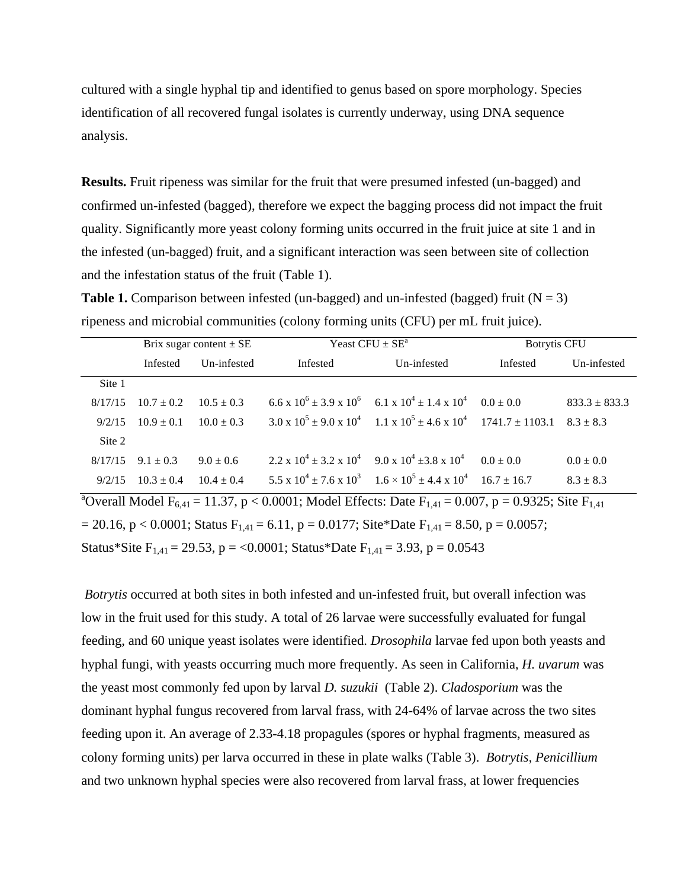cultured with a single hyphal tip and identified to genus based on spore morphology. Species identification of all recovered fungal isolates is currently underway, using DNA sequence analysis.

**Results.** Fruit ripeness was similar for the fruit that were presumed infested (un-bagged) and confirmed un-infested (bagged), therefore we expect the bagging process did not impact the fruit quality. Significantly more yeast colony forming units occurred in the fruit juice at site 1 and in the infested (un-bagged) fruit, and a significant interaction was seen between site of collection and the infestation status of the fruit (Table 1).

**Table 1.** Comparison between infested (un-bagged) and un-infested (bagged) fruit  $(N = 3)$ ripeness and microbial communities (colony forming units (CFU) per mL fruit juice).

|         | Brix sugar content $\pm$ SE |                |                                                                        | Yeast CFU $\pm$ SE <sup>a</sup>                                                            | <b>Botrytis CFU</b> |                   |  |
|---------|-----------------------------|----------------|------------------------------------------------------------------------|--------------------------------------------------------------------------------------------|---------------------|-------------------|--|
|         | Infested                    | Un-infested    | Infested                                                               | Un-infested                                                                                | Infested            | Un-infested       |  |
| Site 1  |                             |                |                                                                        |                                                                                            |                     |                   |  |
| 8/17/15 | $10.7 + 0.2$                | $10.5 + 0.3$   |                                                                        | $6.6 \times 10^6 \pm 3.9 \times 10^6$ $6.1 \times 10^4 \pm 1.4 \times 10^4$                | $0.0 \pm 0.0$       | $833.3 \pm 833.3$ |  |
| 9/2/15  | $10.9 + 0.1$                | $10.0 \pm 0.3$ |                                                                        | $3.0 \times 10^5 \pm 9.0 \times 10^4$ 1.1 x $10^5 \pm 4.6 \times 10^4$ 1741.7 $\pm$ 1103.1 |                     | $8.3 \pm 8.3$     |  |
| Site 2  |                             |                |                                                                        |                                                                                            |                     |                   |  |
| 8/17/15 | $9.1 + 0.3$                 | $9.0 \pm 0.6$  | $2.2 \times 10^4 \pm 3.2 \times 10^4$ 9.0 x $10^4 \pm 3.8 \times 10^4$ |                                                                                            | $0.0 + 0.0$         | $0.0 \pm 0.0$     |  |
| 9/2/15  | $10.3 + 0.4$                | $10.4 + 0.4$   |                                                                        | $5.5 \times 10^4 \pm 7.6 \times 10^3$ $1.6 \times 10^5 \pm 4.4 \times 10^4$                | $167 + 167$         | $8.3 \pm 8.3$     |  |

<sup>a</sup>Overall Model F<sub>6,41</sub> = 11.37, p < 0.0001; Model Effects: Date F<sub>1,41</sub> = 0.007, p = 0.9325; Site F<sub>1,41</sub>  $= 20.16$ , p < 0.0001; Status F<sub>1,41</sub> = 6.11, p = 0.0177; Site\*Date F<sub>1,41</sub> = 8.50, p = 0.0057; Status\*Site  $F_{1,41} = 29.53$ , p = <0.0001; Status\*Date  $F_{1,41} = 3.93$ , p = 0.0543

*Botrytis* occurred at both sites in both infested and un-infested fruit, but overall infection was low in the fruit used for this study. A total of 26 larvae were successfully evaluated for fungal feeding, and 60 unique yeast isolates were identified. *Drosophila* larvae fed upon both yeasts and hyphal fungi, with yeasts occurring much more frequently. As seen in California, *H. uvarum* was the yeast most commonly fed upon by larval *D. suzukii* (Table 2). *Cladosporium* was the dominant hyphal fungus recovered from larval frass, with 24-64% of larvae across the two sites feeding upon it. An average of 2.33-4.18 propagules (spores or hyphal fragments, measured as colony forming units) per larva occurred in these in plate walks (Table 3). *Botrytis*, *Penicillium* and two unknown hyphal species were also recovered from larval frass, at lower frequencies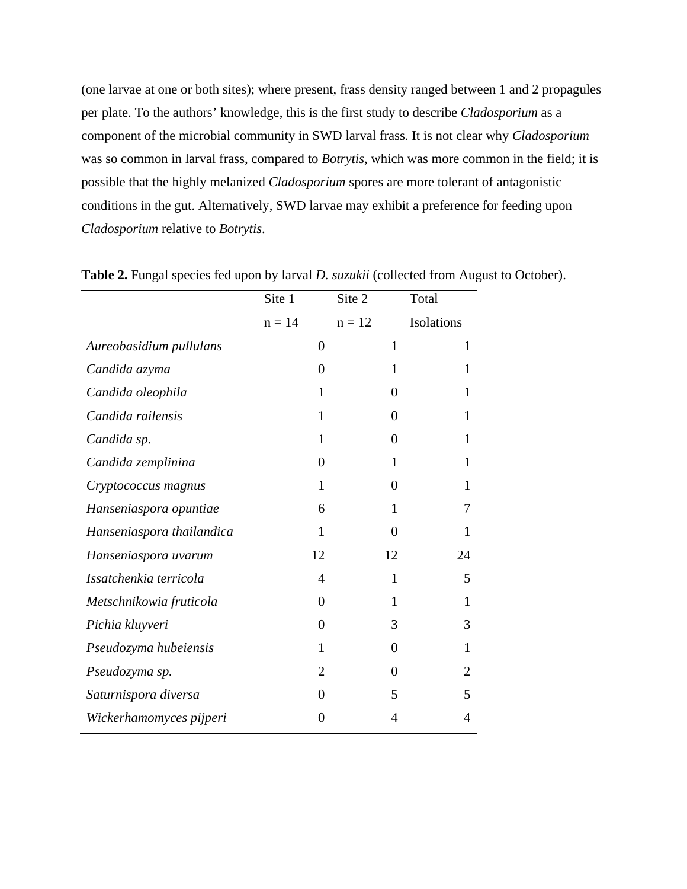(one larvae at one or both sites); where present, frass density ranged between 1 and 2 propagules per plate. To the authors' knowledge, this is the first study to describe *Cladosporium* as a component of the microbial community in SWD larval frass. It is not clear why *Cladosporium* was so common in larval frass, compared to *Botrytis*, which was more common in the field; it is possible that the highly melanized *Cladosporium* spores are more tolerant of antagonistic conditions in the gut. Alternatively, SWD larvae may exhibit a preference for feeding upon *Cladosporium* relative to *Botrytis*.

|                           | Site 1   |                | Site 2   |                | Total          |
|---------------------------|----------|----------------|----------|----------------|----------------|
|                           | $n = 14$ |                | $n = 12$ |                | Isolations     |
| Aureobasidium pullulans   |          | $\overline{0}$ |          | 1              | 1              |
| Candida azyma             |          | 0              |          | 1              | 1              |
| Candida oleophila         |          | 1              |          | 0              | 1              |
| Candida railensis         |          | 1              |          | $\theta$       | 1              |
| Candida sp.               |          | 1              |          | $\Omega$       | 1              |
| Candida zemplinina        |          | $\overline{0}$ |          | $\mathbf{1}$   | 1              |
| Cryptococcus magnus       |          | 1              |          | $\theta$       | 1              |
| Hanseniaspora opuntiae    |          | 6              |          | 1              | 7              |
| Hanseniaspora thailandica |          | 1              |          | $\overline{0}$ | 1              |
| Hanseniaspora uvarum      |          | 12             |          | 12             | 24             |
| Issatchenkia terricola    |          | 4              |          | 1              | 5              |
| Metschnikowia fruticola   |          | 0              |          | 1              | 1              |
| Pichia kluyveri           |          | $\overline{0}$ |          | 3              | 3              |
| Pseudozyma hubeiensis     |          | 1              |          | $\theta$       | 1              |
| Pseudozyma sp.            |          | $\overline{2}$ |          | $\theta$       | $\overline{2}$ |
| Saturnispora diversa      |          | $\theta$       |          | 5              | 5              |
| Wickerhamomyces pijperi   |          | 0              |          | 4              | 4              |

**Table 2.** Fungal species fed upon by larval *D. suzukii* (collected from August to October).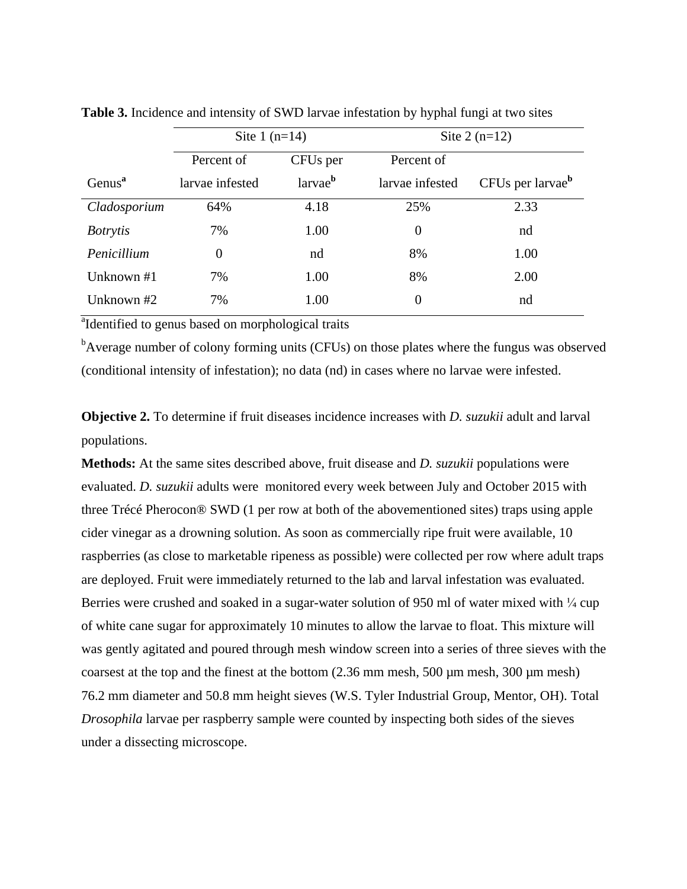|                    | Site 1 $(n=14)$  |                      | Site $2(n=12)$  |                              |  |
|--------------------|------------------|----------------------|-----------------|------------------------------|--|
|                    | Percent of       | CFU <sub>s</sub> per | Percent of      |                              |  |
| Genus <sup>a</sup> | larvae infested  | larvae <sup>b</sup>  | larvae infested | CFUs per larvae <sup>b</sup> |  |
| Cladosporium       | 64%              | 4.18                 | 25%             | 2.33                         |  |
| <i>Botrytis</i>    | 7%               | 1.00                 | $\overline{0}$  | nd                           |  |
| Penicillium        | $\boldsymbol{0}$ | nd                   | 8%              | 1.00                         |  |
| Unknown #1         | 7%               | 1.00                 | 8%              | 2.00                         |  |
| Unknown #2         | 7%               | 1.00                 | $\theta$        | nd                           |  |

**Table 3.** Incidence and intensity of SWD larvae infestation by hyphal fungi at two sites

<sup>a</sup>Identified to genus based on morphological traits

<sup>b</sup>Average number of colony forming units (CFUs) on those plates where the fungus was observed (conditional intensity of infestation); no data (nd) in cases where no larvae were infested.

**Objective 2.** To determine if fruit diseases incidence increases with *D. suzukii* adult and larval populations.

**Methods:** At the same sites described above, fruit disease and *D. suzukii* populations were evaluated. *D. suzukii* adults were monitored every week between July and October 2015 with three Trécé Pherocon® SWD (1 per row at both of the abovementioned sites) traps using apple cider vinegar as a drowning solution. As soon as commercially ripe fruit were available, 10 raspberries (as close to marketable ripeness as possible) were collected per row where adult traps are deployed. Fruit were immediately returned to the lab and larval infestation was evaluated. Berries were crushed and soaked in a sugar-water solution of 950 ml of water mixed with  $\frac{1}{4}$  cup of white cane sugar for approximately 10 minutes to allow the larvae to float. This mixture will was gently agitated and poured through mesh window screen into a series of three sieves with the coarsest at the top and the finest at the bottom  $(2.36 \text{ mm mesh}, 500 \text{ \mu m mesh}, 300 \text{ \mu m mesh})$ 76.2 mm diameter and 50.8 mm height sieves (W.S. Tyler Industrial Group, Mentor, OH). Total *Drosophila* larvae per raspberry sample were counted by inspecting both sides of the sieves under a dissecting microscope.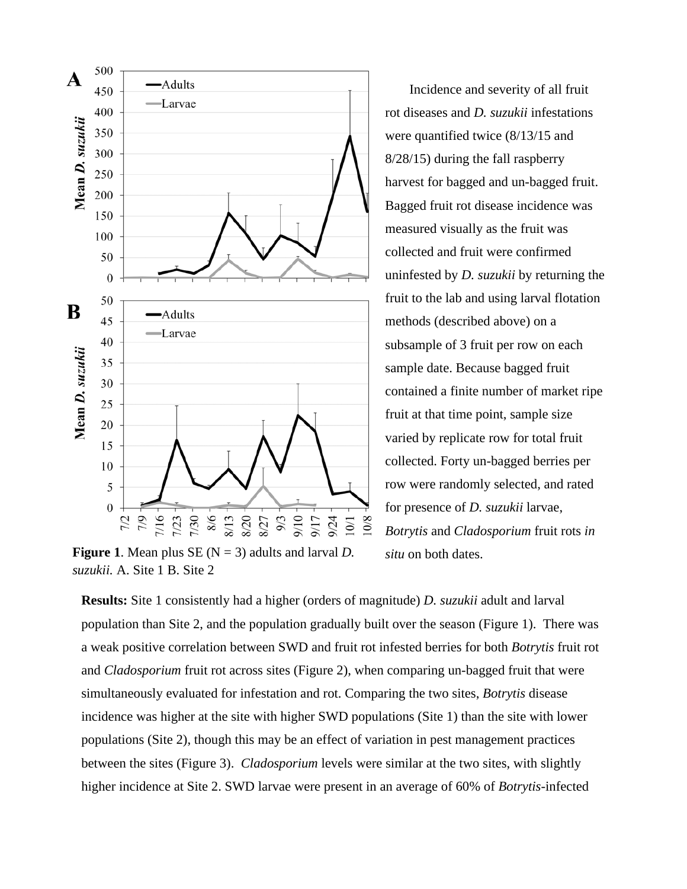

**Figure 1.** Mean plus  $SE(N = 3)$  adults and larval *D*. *suzukii.* A. Site 1 B. Site 2

Incidence and severity of all fruit rot diseases and *D. suzukii* infestations were quantified twice (8/13/15 and 8/28/15) during the fall raspberry harvest for bagged and un-bagged fruit. Bagged fruit rot disease incidence was measured visually as the fruit was collected and fruit were confirmed uninfested by *D. suzukii* by returning the fruit to the lab and using larval flotation methods (described above) on a subsample of 3 fruit per row on each sample date. Because bagged fruit contained a finite number of market ripe fruit at that time point, sample size varied by replicate row for total fruit collected. Forty un-bagged berries per row were randomly selected, and rated for presence of *D. suzukii* larvae, *Botrytis* and *Cladosporium* fruit rots *in situ* on both dates.

**Results:** Site 1 consistently had a higher (orders of magnitude) *D. suzukii* adult and larval population than Site 2, and the population gradually built over the season (Figure 1). There was a weak positive correlation between SWD and fruit rot infested berries for both *Botrytis* fruit rot and *Cladosporium* fruit rot across sites (Figure 2), when comparing un-bagged fruit that were simultaneously evaluated for infestation and rot. Comparing the two sites, *Botrytis* disease incidence was higher at the site with higher SWD populations (Site 1) than the site with lower populations (Site 2), though this may be an effect of variation in pest management practices between the sites (Figure 3). *Cladosporium* levels were similar at the two sites, with slightly higher incidence at Site 2. SWD larvae were present in an average of 60% of *Botrytis*-infected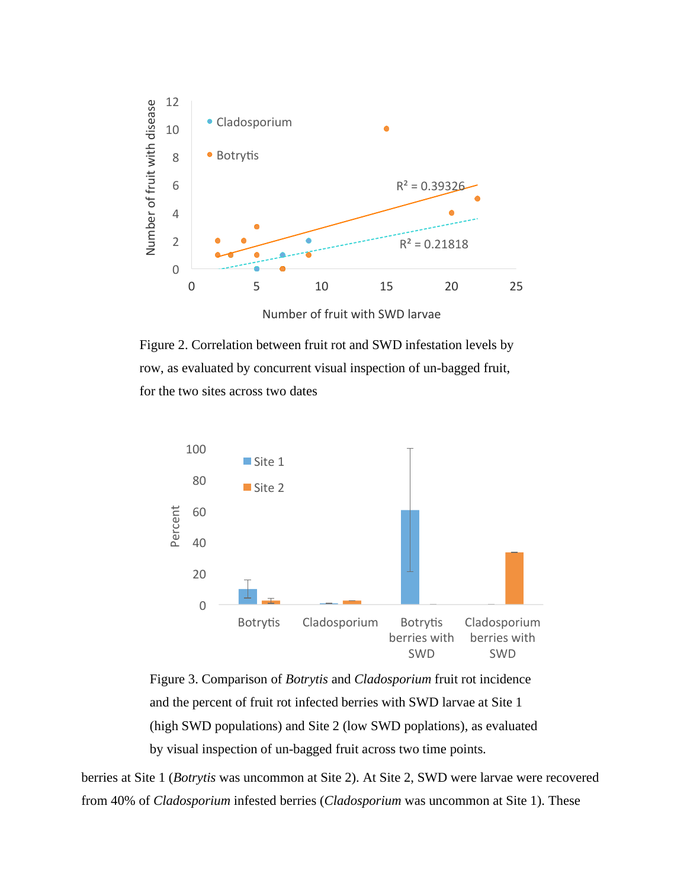

Number of fruit with SWD larvae

Figure 2. Correlation between fruit rot and SWD infestation levels by row, as evaluated by concurrent visual inspection of un-bagged fruit, for the two sites across two dates





berries at Site 1 (*Botrytis* was uncommon at Site 2). At Site 2, SWD were larvae were recovered from 40% of *Cladosporium* infested berries (*Cladosporium* was uncommon at Site 1). These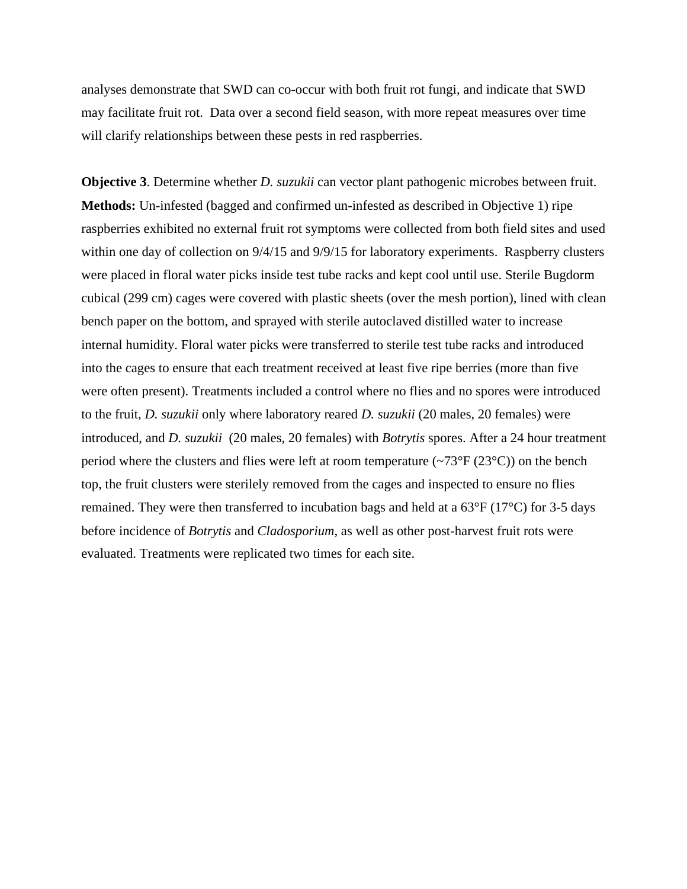analyses demonstrate that SWD can co-occur with both fruit rot fungi, and indicate that SWD may facilitate fruit rot. Data over a second field season, with more repeat measures over time will clarify relationships between these pests in red raspberries.

**Objective 3**. Determine whether *D. suzukii* can vector plant pathogenic microbes between fruit. **Methods:** Un-infested (bagged and confirmed un-infested as described in Objective 1) ripe raspberries exhibited no external fruit rot symptoms were collected from both field sites and used within one day of collection on  $9/4/15$  and  $9/9/15$  for laboratory experiments. Raspberry clusters were placed in floral water picks inside test tube racks and kept cool until use. Sterile Bugdorm cubical (299 cm) cages were covered with plastic sheets (over the mesh portion), lined with clean bench paper on the bottom, and sprayed with sterile autoclaved distilled water to increase internal humidity. Floral water picks were transferred to sterile test tube racks and introduced into the cages to ensure that each treatment received at least five ripe berries (more than five were often present). Treatments included a control where no flies and no spores were introduced to the fruit, *D. suzukii* only where laboratory reared *D. suzukii* (20 males, 20 females) were introduced, and *D. suzukii* (20 males, 20 females) with *Botrytis* spores. After a 24 hour treatment period where the clusters and flies were left at room temperature  $(\sim 73^{\circ}F (23^{\circ}C))$  on the bench top, the fruit clusters were sterilely removed from the cages and inspected to ensure no flies remained. They were then transferred to incubation bags and held at a 63°F (17°C) for 3-5 days before incidence of *Botrytis* and *Cladosporium*, as well as other post-harvest fruit rots were evaluated. Treatments were replicated two times for each site.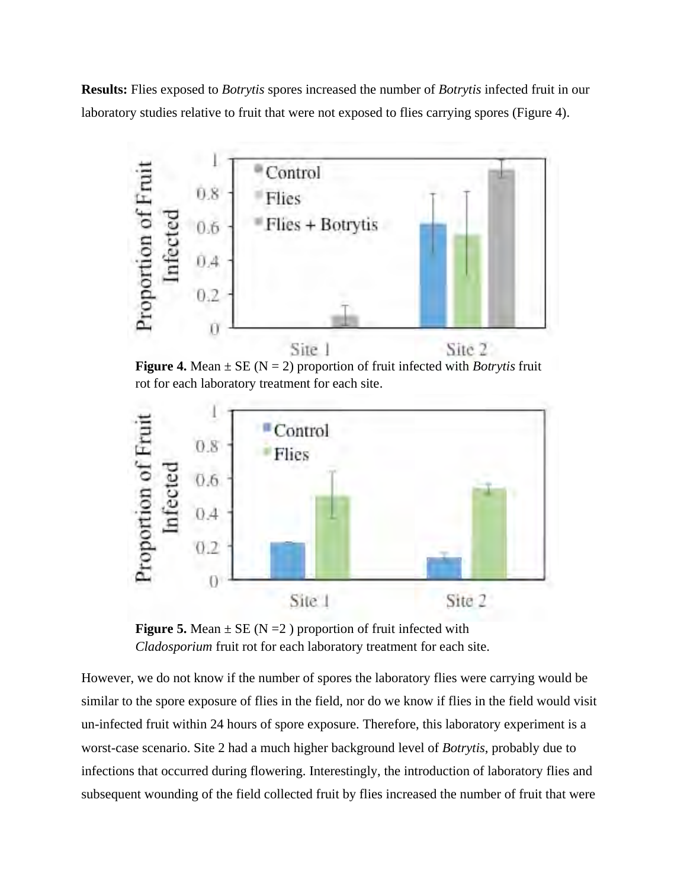**Results:** Flies exposed to *Botrytis* spores increased the number of *Botrytis* infected fruit in our laboratory studies relative to fruit that were not exposed to flies carrying spores (Figure 4).



**Figure 4.** Mean  $\pm$  SE (N = 2) proportion of fruit infected with *Botrytis* fruit rot for each laboratory treatment for each site.



**Figure 5.** Mean  $\pm$  SE (N = 2) proportion of fruit infected with *Cladosporium* fruit rot for each laboratory treatment for each site.

However, we do not know if the number of spores the laboratory flies were carrying would be similar to the spore exposure of flies in the field, nor do we know if flies in the field would visit un-infected fruit within 24 hours of spore exposure. Therefore, this laboratory experiment is a worst-case scenario. Site 2 had a much higher background level of *Botrytis*, probably due to infections that occurred during flowering. Interestingly, the introduction of laboratory flies and subsequent wounding of the field collected fruit by flies increased the number of fruit that were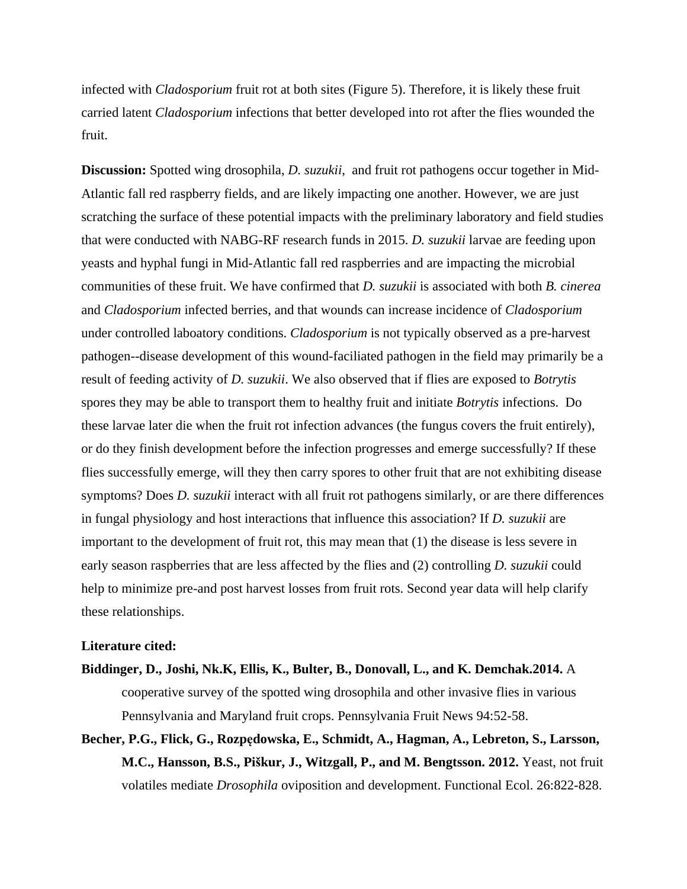infected with *Cladosporium* fruit rot at both sites (Figure 5). Therefore, it is likely these fruit carried latent *Cladosporium* infections that better developed into rot after the flies wounded the fruit.

**Discussion:** Spotted wing drosophila, *D. suzukii*, and fruit rot pathogens occur together in Mid-Atlantic fall red raspberry fields, and are likely impacting one another. However, we are just scratching the surface of these potential impacts with the preliminary laboratory and field studies that were conducted with NABG-RF research funds in 2015. *D. suzukii* larvae are feeding upon yeasts and hyphal fungi in Mid-Atlantic fall red raspberries and are impacting the microbial communities of these fruit. We have confirmed that *D. suzukii* is associated with both *B. cinerea* and *Cladosporium* infected berries, and that wounds can increase incidence of *Cladosporium*  under controlled laboatory conditions. *Cladosporium* is not typically observed as a pre-harvest pathogen--disease development of this wound-faciliated pathogen in the field may primarily be a result of feeding activity of *D. suzukii*. We also observed that if flies are exposed to *Botrytis*  spores they may be able to transport them to healthy fruit and initiate *Botrytis* infections. Do these larvae later die when the fruit rot infection advances (the fungus covers the fruit entirely), or do they finish development before the infection progresses and emerge successfully? If these flies successfully emerge, will they then carry spores to other fruit that are not exhibiting disease symptoms? Does *D. suzukii* interact with all fruit rot pathogens similarly, or are there differences in fungal physiology and host interactions that influence this association? If *D. suzukii* are important to the development of fruit rot, this may mean that (1) the disease is less severe in early season raspberries that are less affected by the flies and (2) controlling *D. suzukii* could help to minimize pre-and post harvest losses from fruit rots. Second year data will help clarify these relationships.

#### **Literature cited:**

- **Biddinger, D., Joshi, Nk.K, Ellis, K., Bulter, B., Donovall, L., and K. Demchak.2014.** A cooperative survey of the spotted wing drosophila and other invasive flies in various Pennsylvania and Maryland fruit crops. Pennsylvania Fruit News 94:52-58.
- **Becher, P.G., Flick, G., Rozpędowska, E., Schmidt, A., Hagman, A., Lebreton, S., Larsson, M.C., Hansson, B.S., Piškur, J., Witzgall, P., and M. Bengtsson. 2012.** Yeast, not fruit volatiles mediate *Drosophila* oviposition and development. Functional Ecol. 26:822-828.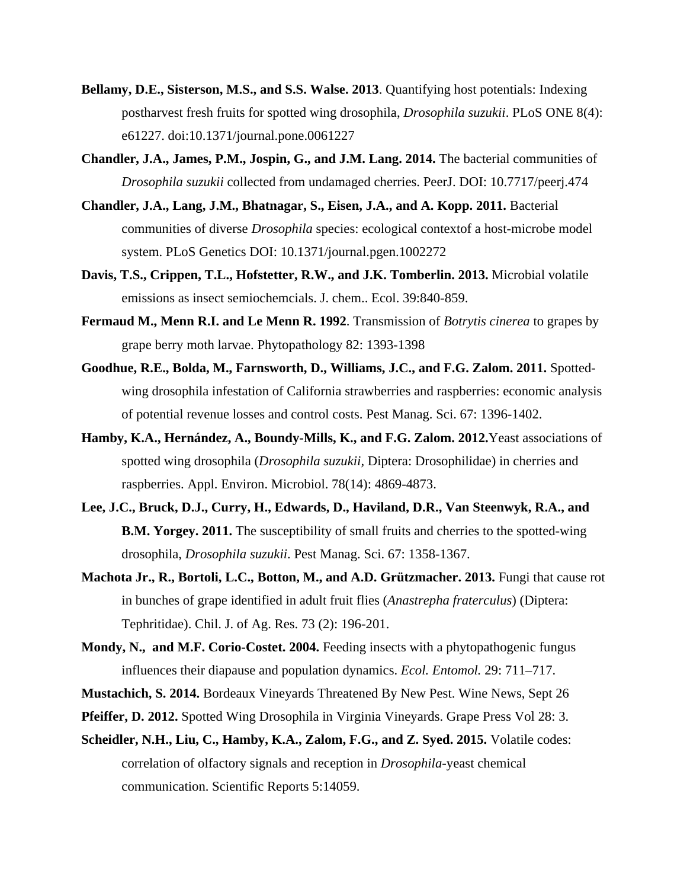- **Bellamy, D.E., Sisterson, M.S., and S.S. Walse. 2013**. Quantifying host potentials: Indexing postharvest fresh fruits for spotted wing drosophila, *Drosophila suzukii*. PLoS ONE 8(4): e61227. doi:10.1371/journal.pone.0061227
- **Chandler, J.A., James, P.M., Jospin, G., and J.M. Lang. 2014.** The bacterial communities of *Drosophila suzukii* collected from undamaged cherries. PeerJ. DOI: 10.7717/peerj.474
- **Chandler, J.A., Lang, J.M., Bhatnagar, S., Eisen, J.A., and A. Kopp. 2011.** Bacterial communities of diverse *Drosophila* species: ecological contextof a host-microbe model system. PLoS Genetics DOI: 10.1371/journal.pgen.1002272
- **Davis, T.S., Crippen, T.L., Hofstetter, R.W., and J.K. Tomberlin. 2013.** Microbial volatile emissions as insect semiochemcials. J. chem.. Ecol. 39:840-859.
- **Fermaud M., Menn R.I. and Le Menn R. 1992**. Transmission of *Botrytis cinerea* to grapes by grape berry moth larvae. Phytopathology 82: 1393-1398
- **Goodhue, R.E., Bolda, M., Farnsworth, D., Williams, J.C., and F.G. Zalom. 2011.** Spottedwing drosophila infestation of California strawberries and raspberries: economic analysis of potential revenue losses and control costs. Pest Manag. Sci. 67: 1396-1402.
- **Hamby, K.A., Hernández, A., Boundy-Mills, K., and F.G. Zalom. 2012.**Yeast associations of spotted wing drosophila (*Drosophila suzukii,* Diptera: Drosophilidae) in cherries and raspberries. Appl. Environ. Microbiol. 78(14): 4869-4873.
- **Lee, J.C., Bruck, D.J., Curry, H., Edwards, D., Haviland, D.R., Van Steenwyk, R.A., and B.M. Yorgey. 2011.** The susceptibility of small fruits and cherries to the spotted-wing drosophila, *Drosophila suzukii*. Pest Manag. Sci. 67: 1358-1367.
- **Machota Jr., R., Bortoli, L.C., Botton, M., and A.D. Grützmacher. 2013.** Fungi that cause rot in bunches of grape identified in adult fruit flies (*Anastrepha fraterculus*) (Diptera: Tephritidae). Chil. J. of Ag. Res. 73 (2): 196-201.
- Mondy, N., and M.F. Corio-Costet. 2004. Feeding insects with a phytopathogenic fungus influences their diapause and population dynamics. *Ecol. Entomol.* 29: 711–717.
- **Mustachich, S. 2014.** Bordeaux Vineyards Threatened By New Pest. Wine News, Sept 26
- **Pfeiffer, D. 2012.** Spotted Wing Drosophila in Virginia Vineyards. Grape Press Vol 28: 3.
- **Scheidler, N.H., Liu, C., Hamby, K.A., Zalom, F.G., and Z. Syed. 2015.** Volatile codes: correlation of olfactory signals and reception in *Drosophila*-yeast chemical communication. Scientific Reports 5:14059.